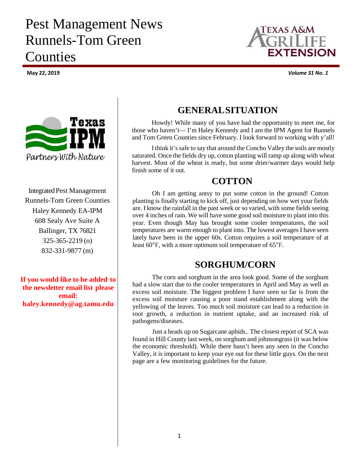# Pest Management News Runnels-Tom Green **Counties**



**May 22, 2019** *Volume 31 No. 1*



**Integrated Pest Management** Runnels-Tom Green Counties Haley Kennedy EA-IPM 608 Sealy Ave Suite A Ballinger, TX 76821 325-365-2219 (o) 832-331-9877 (m)

**If you would like to be added to the newsletter email list please email: haley.kennedy@ag.tamu.edu**

# **GENERALSITUATION**

Howdy! While many of you have had the opportunity to meet me, for those who haven't— I'm Haley Kennedy and I am the IPM Agent for Runnels and Tom Green Counties since February. I look forward to working with y'all!

I think it's safe to say that around the Concho Valley the soils are mostly saturated. Once the fields dry up, cotton planting will ramp up along with wheat harvest. Most of the wheat is ready, but some drier/warmer days would help finish some of it out.

#### **COTTON**

Oh I am getting antsy to put some cotton in the ground! Cotton planting is finally starting to kick off, just depending on how wet your fields are. I know the rainfall in the past week or so varied, with some fields seeing over 4 inches of rain. We will have some good soil moisture to plant into this year. Even though May has brought some cooler temperatures, the soil temperatures are warm enough to plant into. The lowest averages I have seen lately have been in the upper 60s. Cotton requires a soil temperature of at least 60°F, with a more optimum soil temperature of 65°F.

### **SORGHUM/CORN**

The corn and sorghum in the area look good. Some of the sorghum had a slow start due to the cooler temperatures in April and May as well as excess soil moisture. The biggest problem I have seen so far is from the excess soil moisture causing a poor stand establishment along with the yellowing of the leaves. Too much soil moisture can lead to a reduction in root growth, a reduction in nutrient uptake, and an increased risk of pathogens/diseases.

Just a heads up on Sugarcane aphids.. The closest report of SCA was found in Hill County last week, on sorghum and johnsongrass (it was below the economic threshold). While there hasn't been any seen in the Concho Valley, it is important to keep your eye out for these little guys. On the next page are a few monitoring guidelines for the future.